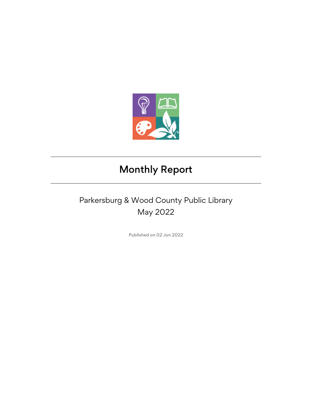

## Monthly Report

## Parkersburg & Wood County Public Library May 2022

Published on 02 Jun 2022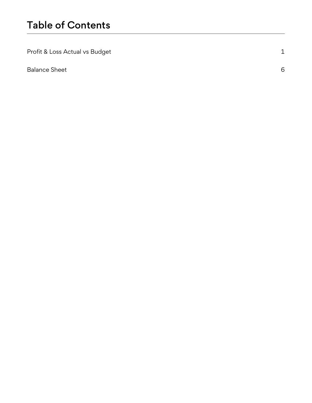| Profit & Loss Actual vs Budget |   |
|--------------------------------|---|
| <b>Balance Sheet</b>           | 6 |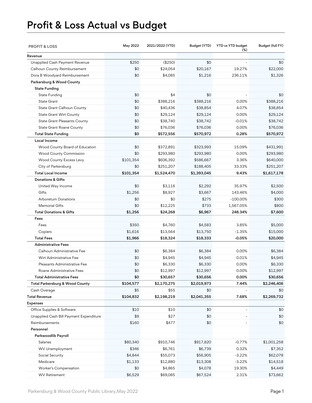## Profit & Loss Actual vs Budget

| <b>PROFIT &amp; LOSS</b>                | May 2022  | 2021/2022 (YTD) | Budget (YTD) | YTD vs YTD budget<br>$(\%)$ | Budget (full FY) |
|-----------------------------------------|-----------|-----------------|--------------|-----------------------------|------------------|
| Revenue                                 |           |                 |              |                             |                  |
| Unapplied Cash Payment Revenue          | \$250     | (\$250)         | \$0          |                             | \$0              |
| Calhoun County Reimbursement            | \$0       | \$24,054        | \$20,167     | 19.27%                      | \$22,000         |
| Dora B Woodyard Reimbursement           | \$0       | \$4,085         | \$1,216      | 236.11%                     | \$1,326          |
| Parkersburg & Wood County               |           |                 |              |                             |                  |
| <b>State Funding</b>                    |           |                 |              |                             |                  |
| State Funding                           | \$0       | \$4             | \$0          |                             | \$0              |
| <b>State Grant</b>                      | \$0       | \$388,216       | \$388,216    | 0.00%                       | \$388,216        |
| State Grant Calhoun County              | \$0       | \$40,436        | \$38,854     | 4.07%                       | \$38,854         |
| <b>State Grant Wirt County</b>          | \$0       | \$29,124        | \$29,124     | 0.00%                       | \$29,124         |
| <b>State Grant Pleasants County</b>     | \$0       | \$38,740        | \$38,742     | $-0.01%$                    | \$38,742         |
| <b>State Grant Roane County</b>         | \$0       | \$76,036        | \$76,036     | 0.00%                       | \$76,036         |
| <b>Total State Funding</b>              | \$0       | \$572,556       | \$570,972    | 0.28%                       | \$570,972        |
| Local Income                            |           |                 |              |                             |                  |
| Wood County Board of Education          | \$0       | \$372,891       | \$323,993    | 15.09%                      | \$431,991        |
| Wood County Commission                  | \$0       | \$293,980       | \$293,980    | 0.00%                       | \$293,980        |
| Wood County Excess Levy                 | \$101,354 | \$606,392       | \$586,667    | 3.36%                       | \$640,000        |
| City of Parkersburg                     | \$0       | \$251,207       | \$188,405    | 33.33%                      | \$251,207        |
| <b>Total Local Income</b>               | \$101,354 | \$1,524,470     | \$1,393,045  | 9.43%                       | \$1,617,178      |
| <b>Donations &amp; Gifts</b>            |           |                 |              |                             |                  |
| United Way Income                       | \$0       | \$3,116         | \$2,292      | 35.97%                      | \$2,500          |
| Gifts                                   | \$1,256   | \$8,927         | \$3,667      | 143.46%                     | \$4,000          |
| <b>Arboretum Donations</b>              | \$0       | \$0             | \$275        | $-100.00\%$                 | \$300            |
| <b>Memorial Gifts</b>                   | \$0       | \$12,225        | \$733        | 1,567.05%                   | \$800            |
| <b>Total Donations &amp; Gifts</b>      | \$1,256   | \$24,268        | \$6,967      | 248.34%                     | \$7,600          |
| Fees                                    |           |                 |              |                             |                  |
| Fees                                    | \$350     | \$4,760         | \$4,583      | 3.85%                       | \$5,000          |
| Copiers                                 | \$1,616   | \$13,564        | \$13,750     | $-1.35%$                    | \$15,000         |
| <b>Total Fees</b>                       | \$1,966   | \$18,324        | \$18,333     | $-0.05%$                    | \$20,000         |
| <b>Administrative Fees</b>              |           |                 |              |                             |                  |
| Calhoun Administrative Fee              | \$0       | \$6,384         | \$6,384      | 0.00%                       | \$6,384          |
| Wirt Administrative Fee                 | \$0       | \$4,945         | \$4,945      | 0.01%                       | \$4,945          |
| Pleasants Administrative Fee            | \$0       | \$6,330         | \$6,330      | 0.00%                       | \$6,330          |
| Roane Administrative Fees               | \$0       | \$12,997        | \$12,997     | 0.00%                       | \$12,997         |
| <b>Total Administrative Fees</b>        | \$0       | \$30,657        | \$30,656     | 0.00%                       | \$30,656         |
| Total Parkersburg & Wood County         | \$104,577 | \$2,170,275     | \$2,019,973  | 7.44%                       | \$2,246,406      |
| Cash Overage                            | \$5       | \$55            | \$0          |                             | \$0              |
| <b>Total Revenue</b>                    | \$104,832 | \$2,198,219     | \$2,041,355  | 7.68%                       | \$2,269,732      |
| <b>Expenses</b>                         |           |                 |              |                             |                  |
| Office Supplies & Software              | \$10      | \$10            | \$0          |                             | \$0              |
| Unapplied Cash Bill Payment Expenditure | \$9       | \$27            | \$0          |                             | \$0              |
| Reimbursements                          | \$160     | \$477           | \$0          |                             | \$0              |
| Personnel                               |           |                 |              |                             |                  |
| Parkwoodlib Payroll                     |           |                 |              |                             |                  |
| Salaries                                | \$80,340  | \$910,746       | \$917,820    | $-0.77%$                    | \$1,001,258      |
| WV Unemployment                         | \$346     | \$6,761         | \$6,739      | 0.32%                       | \$7,352          |
| Social Security                         | \$4,844   | \$55,073        | \$56,905     | $-3.22%$                    | \$62,078         |
| Medicare                                | \$1,133   | \$12,880        | \$13,308     | $-3.22%$                    | \$14,518         |
| Worker's Compensation                   | \$0       | \$4,865         | \$4,078      | 19.30%                      | \$4,449          |
| <b>WV Retirement</b>                    | \$6,529   | \$69,085        | \$67,524     | 2.31%                       | \$73,662         |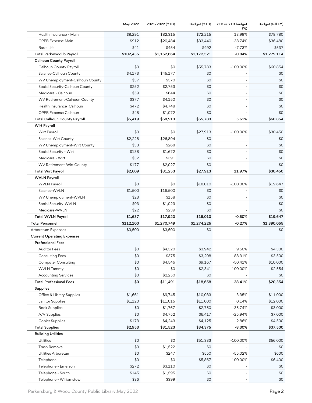|                                     | May 2022  | 2021/2022 (YTD) | Budget (YTD) | YTD vs YTD budget<br>(%) | Budget (full FY) |
|-------------------------------------|-----------|-----------------|--------------|--------------------------|------------------|
| Health Insurance - Main             | \$8,291   | \$82,315        | \$72,215     | 13.99%                   | \$78,780         |
| OPEB Expense Main                   | \$912     | \$20,484        | \$33,440     | -38.74%                  | \$36,480         |
| <b>Basic Life</b>                   | \$41      | \$454           | \$492        | $-7.73%$                 | \$537            |
| Total Parkwoodlib Payroll           | \$102,435 | \$1,162,664     | \$1,172,521  | $-0.84%$                 | \$1,279,114      |
| <b>Calhoun County Payroll</b>       |           |                 |              |                          |                  |
| Calhoun County Payroll              | \$0       | \$0             | \$55,783     | $-100.00%$               | \$60,854         |
| Salaries-Calhoun County             | \$4,173   | \$45,177        | \$0          |                          | \$0              |
| WV Unemployment-Calhoun County      | \$37      | \$370           | \$0          |                          | \$0              |
| Social Security-Calhoun County      | \$252     | \$2,753         | \$0          |                          | \$0              |
| Medicare - Calhoun                  | \$59      | \$644           | \$0          |                          | \$0              |
| WV Retirement-Calhoun County        | \$377     | \$4,150         | \$0          |                          | \$0              |
| Health Insurance Calhoun            | \$472     | \$4,748         | \$0          |                          | \$0              |
| OPEB Expense Calhoun                | \$48      | \$1,072         | \$0          |                          | \$0              |
| <b>Total Calhoun County Payroll</b> | \$5,419   | \$58,913        | \$55,783     | 5.61%                    | \$60,854         |
| <b>Wirt Payroll</b>                 |           |                 |              |                          |                  |
| Wirt Payroll                        | \$0       | \$0             | \$27,913     | $-100.00%$               | \$30,450         |
| Salaries-Wirt County                | \$2,228   | \$26,894        | \$0          |                          | \$0              |
| WV Unemployment-Wirt County         | \$33      | \$268           | \$0          |                          | \$0              |
| Social Security - Wirt              | \$138     | \$1,672         | \$0          |                          | \$0              |
| Medicare - Wirt                     | \$32      | \$391           | \$0          |                          | \$0              |
| WV Retirement-Wirt County           | \$177     | \$2,027         | \$0          |                          | \$0              |
| <b>Total Wirt Payroll</b>           | \$2,609   | \$31,253        | \$27,913     | 11.97%                   | \$30,450         |
| <b>WVLN Payroll</b>                 |           |                 |              |                          |                  |
| <b>WVLN Payroll</b>                 | \$0       | \$0             | \$18,010     | $-100.00%$               | \$19,647         |
| Salaries-WVLN                       | \$1,500   | \$16,500        | \$0          |                          | \$0              |
| WV Unemployment-WVLN                | \$23      | \$158           | \$0          |                          | \$0              |
| Social Security-WVLN                | \$93      | \$1,023         | \$0          |                          | \$0              |
| Medicare-WVLN                       | \$22      | \$239           | \$0          |                          | \$0              |
| <b>Total WVLN Payroll</b>           | \$1,637   | \$17,920        | \$18,010     | $-0.50%$                 | \$19,647         |
| <b>Total Personnel</b>              | \$112,100 | \$1,270,749     | \$1,274,226  | $-0.27%$                 | \$1,390,065      |
| Arboretum Expenses                  | \$3,500   | \$3,500         | \$0          |                          | \$0              |
| <b>Current Operating Expenses</b>   |           |                 |              |                          |                  |
| <b>Professional Fees</b>            |           |                 |              |                          |                  |
| Auditor Fees                        | \$0       | \$4,320         | \$3,942      | 9.60%                    | \$4,300          |
| <b>Consulting Fees</b>              | \$0       | \$375           | \$3,208      | $-88.31%$                | \$3,500          |
| <b>Computer Consulting</b>          | \$0       | \$4,546         | \$9,167      | $-50.41%$                | \$10,000         |
| <b>WVLN Tammy</b>                   | \$0       | \$0             | \$2,341      | $-100.00%$               | \$2,554          |
| <b>Accounting Services</b>          | \$0       | \$2,250         | \$0          |                          | \$0              |
| <b>Total Professional Fees</b>      | \$0       | \$11,491        | \$18,658     | $-38.41%$                | \$20,354         |
| <b>Supplies</b>                     |           |                 |              |                          |                  |
| Office & Library Supplies           | \$1,661   | \$9,745         | \$10,083     | $-3.35%$                 | \$11,000         |
| Janitor Supplies                    | \$1,120   | \$11,015        | \$11,000     | 0.14%                    | \$12,000         |
| <b>Book Supplies</b>                | \$0       | \$1,767         | \$2,750      | $-35.74%$                | \$3,000          |
| A/V Supplies                        | \$0       | \$4,752         | \$6,417      | $-25.94%$                | \$7,000          |
| <b>Copier Supplies</b>              | \$173     | \$4,243         | \$4,125      | 2.86%                    | \$4,500          |
| <b>Total Supplies</b>               | \$2,953   | \$31,523        | \$34,375     | $-8.30%$                 | \$37,500         |
| <b>Building Utilities</b>           |           |                 |              |                          |                  |
| Utilities                           | \$0       | \$0             | \$51,333     | $-100.00%$               | \$56,000         |
| Trash Removal                       | \$0       | \$1,522         | \$0          |                          | \$0              |
| Utilities Arboretum                 | \$0       | \$247           | \$550        | $-55.02%$                | \$600            |
| Telephone                           | \$0       | \$0             | \$5,867      | $-100.00%$               | \$6,400          |
| Telephone - Emerson                 | \$272     | \$3,110         | \$0          |                          | \$0              |
| Telephone - South                   | \$145     | \$1,595         | \$0          |                          | \$0              |
| Telephone - Williamstown            | \$36      | \$399           | \$0          |                          | \$0              |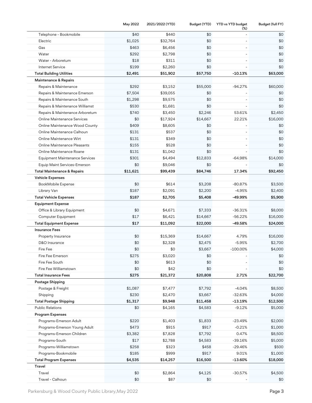|                                        | May 2022 | 2021/2022 (YTD) | Budget (YTD) | YTD vs YTD budget<br>$(\%)$ | Budget (full FY) |
|----------------------------------------|----------|-----------------|--------------|-----------------------------|------------------|
| Telephone - Bookmobile                 | \$40     | \$440           | \$0          |                             | \$0              |
| Electric                               | \$1,025  | \$32,764        | \$0          |                             | \$0              |
| Gas                                    | \$463    | \$6,456         | \$0          |                             | \$0              |
| Water                                  | \$292    | \$2,798         | \$0          |                             | \$0              |
| Water - Arboretum                      | \$18     | \$311           | \$0          |                             | \$0              |
| Internet Service                       | \$199    | \$2,260         | \$0          |                             | \$0              |
| <b>Total Building Utilities</b>        | \$2,491  | \$51,902        | \$57,750     | $-10.13%$                   | \$63,000         |
| Maintenance & Repairs                  |          |                 |              |                             |                  |
| Repairs & Maintenance                  | \$292    | \$3,152         | \$55,000     | $-94.27%$                   | \$60,000         |
| Repairs & Maintenance Emerson          | \$7,504  | \$39,055        | \$0          |                             | \$0              |
| Repairs & Maintenance South            | \$1,298  | \$9,575         | \$0          |                             | \$0              |
| Repairs & Maintenance Williamst        | \$530    | \$1,681         | \$0          |                             | \$0              |
| Repairs & Maintenance Arboretum        | \$740    | \$3,450         | \$2,246      | 53.61%                      | \$2,450          |
| <b>Online Maintenance Services</b>     | \$0      | \$17,924        | \$14,667     | 22.21%                      | \$16,000         |
| Online Maintenance Wood County         | \$409    | \$8,605         | \$0          |                             | \$0              |
| Online Maintenance Calhoun             | \$131    | \$537           | \$0          | $\overline{\phantom{a}}$    | \$0              |
| Online Maintenance Wirt                | \$131    | \$349           | \$0          | $\overline{\phantom{a}}$    | \$0              |
| Online Maintenance Pleasants           | \$155    | \$528           | \$0          |                             | \$0              |
| Online Maintenance Roane               | \$131    | \$1,042         | \$0          |                             | \$0              |
| <b>Equipment Maintenance Services</b>  | \$301    | \$4,494         | \$12,833     | $-64.98%$                   | \$14,000         |
| Equip Maint Services-Emerson           | \$0      | \$9,046         | \$0          |                             | \$0              |
| <b>Total Maintenance &amp; Repairs</b> | \$11,621 | \$99,439        | \$84,746     | 17.34%                      | \$92,450         |
| <b>Vehicle Expenses</b>                |          |                 |              |                             |                  |
| BookMobile Expense                     | \$0      | \$614           | \$3,208      | $-80.87%$                   | \$3,500          |
| Library Van                            | \$187    | \$2,091         | \$2,200      | $-4.95%$                    | \$2,400          |
| <b>Total Vehicle Expenses</b>          | \$187    | \$2,705         | \$5,408      | -49.99%                     | \$5,900          |
| <b>Equipment Expense</b>               |          |                 |              |                             |                  |
| Office & Library Equipment             | \$0      | \$4,671         | \$7,333      | $-36.31%$                   | \$8,000          |
| Computer Equipment                     | \$17     | \$6,421         | \$14,667     | $-56.22%$                   | \$16,000         |
| <b>Total Equipment Expense</b>         | \$17     | \$11,092        | \$22,000     | $-49.58%$                   | \$24,000         |
| <b>Insurance Fees</b>                  |          |                 |              |                             |                  |
| Property Insurance                     | \$0      | \$15,369        | \$14,667     | 4.79%                       | \$16,000         |
| D&O Insurance                          | \$0      | \$2,328         | \$2,475      | $-5.95%$                    | \$2,700          |
| Fire Fee                               | \$0      | \$0             | \$3,667      | 100.00%                     | \$4,000          |
| Fire Fee Emerson                       | \$275    | \$3,020         | \$0          |                             | \$0              |
| Fire Fee South                         | \$0      | \$613           | \$0          |                             | \$0              |
| Fire Fee Williamstown                  | \$0      | \$42            | \$0          |                             | \$0              |
| <b>Total Insurance Fees</b>            | \$275    | \$21,372        | \$20,808     | 2.71%                       | \$22,700         |
| Postage Shipping                       |          |                 |              |                             |                  |
| Postage & Freight                      | \$1,087  | \$7,477         | \$7,792      | $-4.04%$                    | \$8,500          |
| Shipping                               | \$230    | \$2,470         | \$3,667      | $-32.63%$                   | \$4,000          |
| <b>Total Postage Shipping</b>          | \$1,317  | \$9,948         | \$11,458     | $-13.19%$                   | \$12,500         |
| <b>Public Relations</b>                | \$0      | \$4,165         | \$4,583      | $-9.12%$                    | \$5,000          |
| Program Expenses                       |          |                 |              |                             |                  |
| Programs-Emerson Adult                 | \$220    | \$1,403         | \$1,833      | $-23.49%$                   | \$2,000          |
| Programs-Emerson Young Adult           | \$473    | \$915           | \$917        | $-0.21%$                    | \$1,000          |
| Programs-Emerson Children              | \$3,382  | \$7,828         | \$7,792      | 0.47%                       | \$8,500          |
| Programs-South                         | \$17     | \$2,788         | \$4,583      | $-39.16%$                   | \$5,000          |
| Programs-Williamstown                  | \$258    | \$323           | \$458        | $-29.46%$                   | \$500            |
| Programs-Bookmobile                    | \$185    | \$999           | \$917        | 9.01%                       | \$1,000          |
| <b>Total Program Expenses</b>          | \$4,535  | \$14,257        | \$16,500     | $-13.60%$                   | \$18,000         |
| Travel                                 |          |                 |              |                             |                  |
| Travel                                 | \$0      | \$2,864         | \$4,125      | $-30.57%$                   | \$4,500          |
| Travel - Calhoun                       | \$0      | \$87            | \$0          |                             | \$0              |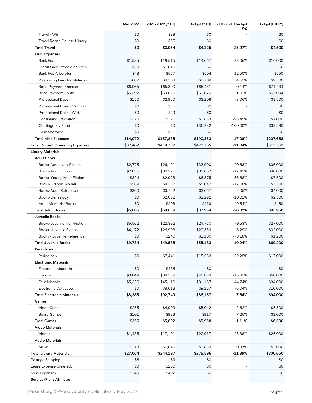|                                         | May 2022 | 2021/2022 (YTD) | Budget (YTD) | YTD vs YTD budget<br>(%) | Budget (full FY) |
|-----------------------------------------|----------|-----------------|--------------|--------------------------|------------------|
| Travel - Wirt                           | \$0      | \$38            | \$0          |                          | \$0              |
| Travel Roane County Library             | \$0      | \$65            | \$0          |                          | \$0              |
| <b>Total Travel</b>                     | \$0      | \$3,054         | \$4,125      | $-25.97%$                | \$4,500          |
| <b>Misc Expenses</b>                    |          |                 |              |                          |                  |
| <b>Bank Fee</b>                         | \$1,585  | \$19,515        | \$14,667     | 33.06%                   | \$16,000         |
| <b>Credit Card Processing Fees</b>      | \$30     | \$1,015         | \$0          |                          | \$0              |
| Bank Fee Arboretum                      | \$48     | \$567           | \$504        | 12.50%                   | \$550            |
| Processing Fees for Materials           | \$682    | \$9,103         | \$8,708      | 4.53%                    | \$9,500          |
| <b>Bond Payment Emerson</b>             | \$6,065  | \$65,390        | \$65,481     | $-0.14%$                 | \$71,434         |
| Bond Payment South                      | \$5,392  | \$59,060        | \$59,670     | $-1.02%$                 | \$65,094         |
| <b>Professional Dues</b>                | \$150    | \$2,950         | \$3,208      | $-8.06%$                 | \$3,500          |
| Professional Dues - Calhoun             | \$0      | \$35            | \$0          |                          | \$0              |
| Professional Dues - Wirt                | \$0      | \$49            | \$0          |                          | \$0              |
| Continuing Education                    | \$120    | \$120           | \$1,833      | $-93.45%$                | \$2,000          |
| Contingency Fund                        | \$0      | \$0             | \$36,282     | $-100.00%$               | \$39,580         |
| Cash Shortage                           | \$0      | \$31            | \$0          |                          | \$0              |
| <b>Total Misc Expenses</b>              | \$14,072 | \$157,835       | \$190,353    | $-17.08%$                | \$207,658        |
| <b>Total Current Operating Expenses</b> | \$37,467 | \$418,782       | \$470,765    | $-11.04%$                | \$513,562        |
| <b>Library Materials</b>                |          |                 |              |                          |                  |
| <b>Adult Books</b>                      |          |                 |              |                          |                  |
| Books-Adult Non-Fiction                 | \$2,775  | \$26,191        | \$33,000     | $-20.63%$                | \$36,000         |
| <b>Books-Adult Fiction</b>              | \$2,836  | \$30,276        | \$36,667     | $-17.43%$                | \$40,000         |
| Books-Young Adult Fiction               | \$324    | \$2,978         | \$6,875      | -56.68%                  | \$7,500          |
| <b>Books-Graphic Novels</b>             | \$589    | \$4,182         | \$5,042      | $-17.06%$                | \$5,500          |
| Books-Adult Reference                   | \$360    | \$3,742         | \$3,667      | 2.05%                    | \$4,000          |
| Books-Genealogy                         | \$0      | \$2,062         | \$2,292      | $-10.01%$                | \$2,500          |
| <b>Adult Memorial Books</b>             | \$0      | \$208           | \$413        | $-49.54%$                | \$450            |
| <b>Total Adult Books</b>                | \$6,885  | \$69,639        | \$87,954     | -20.82%                  | \$95,950         |
| Juvenile Books                          |          |                 |              |                          |                  |
| Books-Juvenile Non-Fiction              | \$5,562  | \$22,392        | \$24,750     | $-9.53%$                 | \$27,000         |
| Books- Juvenile Fiction                 | \$4,172  | \$26,903        | \$29,333     | $-8.29%$                 | \$32,000         |
| Books - Juvenile Reference              | \$0      | \$240           | \$1,100      | $-78.18%$                | \$1,200          |
| <b>Total Juvenile Books</b>             | \$9,734  | \$49,535        | \$55,183     | $-10.24%$                | \$60,200         |
| Periodicals                             |          |                 |              |                          |                  |
| Periodicals                             | \$0      | \$7,441         | \$15,583     | $-52.25%$                | \$17,000         |
| <b>Electronic Materials</b>             |          |                 |              |                          |                  |
| <b>Electronic Materials</b>             | \$0      | \$436           | \$0          |                          | \$0              |
| Ebooks                                  | \$3,049  | \$38,589        | \$45,833     | $-15.81%$                | \$50,000         |
| Eaudiobooks                             | \$5,336  | \$45,110        | \$31,167     | 44.74%                   | \$34,000         |
| <b>Electronic Databases</b>             | \$0      | \$8,613         | \$9,167      | $-6.04%$                 | \$10,000         |
| <b>Total Electronic Materials</b>       | \$8,385  | \$92,749        | \$86,167     | 7.64%                    | \$94,000         |
| Games                                   |          |                 |              |                          |                  |
| Video Games                             | \$255    | \$4,909         | \$5,042      | $-2.62%$                 | \$5,500          |
| <b>Board Games</b>                      | \$101    | \$983           | \$917        | 7.25%                    | \$1,000          |
| <b>Total Games</b>                      | \$356    | \$5,892         | \$5,958      | $-1.11%$                 | \$6,500          |
| <b>Video Materials</b>                  |          |                 |              |                          |                  |
| Videos                                  | \$1,485  | \$17,101        | \$22,917     | $-25.38%$                | \$25,000         |
| <b>Audio Materials</b>                  |          |                 |              |                          |                  |
| Music                                   | \$218    | \$1,840         | \$1,833      | 0.37%                    | \$2,000          |
| <b>Total Library Materials</b>          | \$27,064 | \$244,197       | \$275,596    | $-11.39%$                | \$300,650        |
| Postage Shipping                        | \$6      | \$9             | \$0          |                          | \$0              |
| Lease Expense (deleted)                 | \$0      | \$200           | \$0          |                          | \$0              |
| Misc Expenses                           | \$140    | \$402           | \$0          |                          | \$0              |
| <b>Service/Plans Affiliates</b>         |          |                 |              |                          |                  |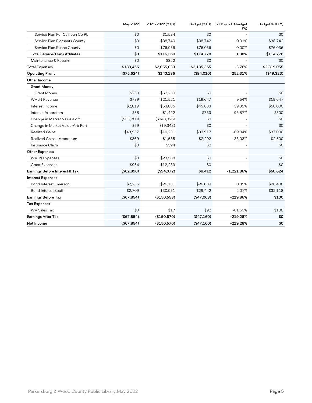|                                       | May 2022    | 2021/2022 (YTD) | Budget (YTD) | YTD vs YTD budget<br>$(\%)$ | Budget (full FY) |
|---------------------------------------|-------------|-----------------|--------------|-----------------------------|------------------|
| Service Plan For Calhoun Co PL        | \$0         | \$1,584         | \$0          |                             | \$0              |
| Service Plan Pleasants County         | \$0         | \$38,740        | \$38,742     | $-0.01%$                    | \$38,742         |
| Service Plan Roane County             | \$0         | \$76,036        | \$76,036     | 0.00%                       | \$76,036         |
| <b>Total Service/Plans Affiliates</b> | \$0         | \$116,360       | \$114,778    | 1.38%                       | \$114,778        |
| Maintenance & Repairs                 | \$0         | \$322           | \$0          |                             | \$0              |
| <b>Total Expenses</b>                 | \$180,456   | \$2,055,033     | \$2,135,365  | $-3.76%$                    | \$2,319,055      |
| <b>Operating Profit</b>               | (\$75,624)  | \$143,186       | (\$94,010)   | 252.31%                     | (\$49,323)       |
| Other Income                          |             |                 |              |                             |                  |
| <b>Grant Money</b>                    |             |                 |              |                             |                  |
| <b>Grant Money</b>                    | \$250       | \$52,250        | \$0          |                             | \$0              |
| <b>WVLN Revenue</b>                   | \$739       | \$21,521        | \$19,647     | 9.54%                       | \$19,647         |
| Interest Income                       | \$2,019     | \$63,885        | \$45,833     | 39.39%                      | \$50,000         |
| Interest Arboretum                    | \$56        | \$1,422         | \$733        | 93.87%                      | \$800            |
| Change in Market Value-Port           | (\$33,760)  | (\$343,826)     | \$0          |                             | \$0              |
| Change in Market Value-Arb Port       | \$59        | (\$9,348)       | \$0          |                             | \$0              |
| <b>Realized Gains</b>                 | \$43,957    | \$10,231        | \$33,917     | $-69.84%$                   | \$37,000         |
| Realized Gains - Arboretum            | \$369       | \$1,535         | \$2,292      | $-33.03%$                   | \$2,500          |
| Insurance Claim                       | \$0         | \$594           | \$0          |                             | \$0              |
| <b>Other Expenses</b>                 |             |                 |              |                             |                  |
| <b>WVLN Expenses</b>                  | \$0         | \$23,588        | \$0          |                             | \$0              |
| <b>Grant Expenses</b>                 | \$954       | \$12,233        | \$0          |                             | \$0              |
| Earnings Before Interest & Tax        | (\$62,890)  | (\$94,372)      | \$8,412      | $-1,221.86%$                | \$60,624         |
| <b>Interest Expenses</b>              |             |                 |              |                             |                  |
| <b>Bond Interest Emerson</b>          | \$2,255     | \$26,131        | \$26,039     | 0.35%                       | \$28,406         |
| <b>Bond Interest South</b>            | \$2,709     | \$30,051        | \$29,442     | 2.07%                       | \$32,118         |
| Earnings Before Tax                   | (\$67, 854) | (\$150,553)     | (\$47,068)   | -219.86%                    | \$100            |
| <b>Tax Expenses</b>                   |             |                 |              |                             |                  |
| <b>WV Sales Tax</b>                   | \$0         | \$17            | \$92         | $-81.63%$                   | \$100            |
| Earnings After Tax                    | (\$67,854)  | (\$150,570)     | (\$47,160)   | $-219.28%$                  | \$0              |
| Net Income                            | (\$67,854)  | (\$150,570)     | (\$47,160)   | $-219.28%$                  | \$0              |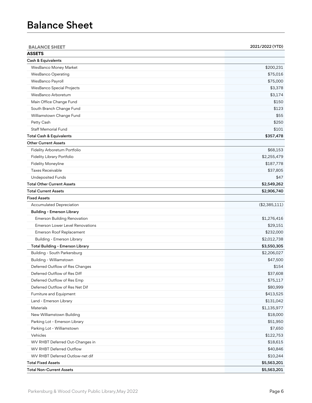## Balance Sheet

| <b>BALANCE SHEET</b>                | 2021/2022 (YTD) |
|-------------------------------------|-----------------|
| <b>ASSETS</b>                       |                 |
| Cash & Equivalents                  |                 |
| WesBanco Money Market               | \$200,231       |
| <b>WesBanco Operating</b>           | \$75,016        |
| WesBanco Payroll                    | \$75,000        |
| WesBanco Special Projects           | \$3,378         |
| WesBanco Arboretum                  | \$3,174         |
| Main Office Change Fund             | \$150           |
| South Branch Change Fund            | \$123           |
| Williamstown Change Fund            | \$55            |
| Petty Cash                          | \$250           |
| <b>Staff Memorial Fund</b>          | \$101           |
| <b>Total Cash &amp; Equivalents</b> | \$357,478       |
| <b>Other Current Assets</b>         |                 |
| Fidelity Arboretum Portfolio        | \$68,153        |
| Fidelity Library Portfolio          | \$2,255,479     |
| <b>Fidelity Moneyline</b>           | \$187,778       |
| <b>Taxes Receivable</b>             | \$37,805        |
| <b>Undeposited Funds</b>            | \$47            |
| <b>Total Other Current Assets</b>   | \$2,549,262     |
| <b>Total Current Assets</b>         | \$2,906,740     |
| <b>Fixed Assets</b>                 |                 |
| <b>Accumulated Depreciation</b>     | (\$2,385,111)   |
| <b>Building - Emerson Library</b>   |                 |
| <b>Emerson Building Renovation</b>  | \$1,276,416     |
| Emerson Lower Level Renovations     | \$29,151        |
| Emerson Roof Replacement            | \$232,000       |
| <b>Building - Emerson Library</b>   | \$2,012,738     |
| Total Building - Emerson Library    | \$3,550,305     |
| Building - South Parkersburg        | \$2,206,027     |
| Building - Williamstown             | \$47,500        |
| Deferred Outflow of Res Changes     | \$154           |
| Deferred Outflow of Res Diff        | \$37,608        |
| Deferred Outflow of Res Emp         | \$75,117        |
| Deferred Outflow of Res Net Dif     | \$80,999        |
| Furniture and Equipment             | \$413,525       |
| Land - Emerson Library              | \$131,042       |
| <b>Materials</b>                    | \$1,135,977     |
| New Williamstown Building           | \$18,000        |
| Parking Lot - Emerson Library       | \$51,950        |
| Parking Lot - Williamstown          | \$7,650         |
| Vehicles                            | \$122,753       |
| WV RHBT Deferred Out-Changes in     | \$18,615        |
| <b>WV RHBT Deferred Outflow</b>     | \$40,846        |
| WV RHBT Deferred Outlow-net dif     | \$10,244        |
| <b>Total Fixed Assets</b>           | \$5,563,201     |
| <b>Total Non-Current Assets</b>     | \$5,563,201     |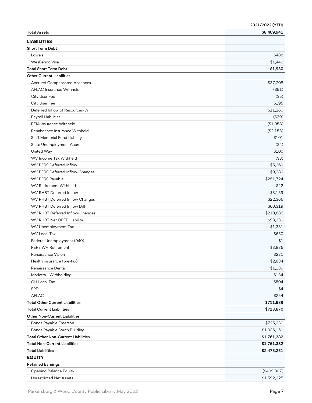|                                            | 2021/2022 (YTD) |
|--------------------------------------------|-----------------|
| <b>Total Assets</b>                        | \$8,469,941     |
| <b>LIABILITIES</b>                         |                 |
| <b>Short Term Debt</b>                     |                 |
| Lowe's                                     | \$488           |
| WesBanco Visa                              | \$1,442         |
| <b>Total Short Term Debt</b>               | \$1,930         |
| <b>Other Current Liabilities</b>           |                 |
| <b>Accrued Compensated Absences</b>        | \$37,208        |
| <b>AFLAC Insurance Withheld</b>            | (\$51)          |
| City User Fee                              | (\$5)           |
| City User Fee                              | \$195           |
| Deferred Inflow of Resources-Di            | \$11,260        |
| Payroll Liabilities                        | (\$39)          |
| PEIA Insurance Withheld                    | (\$1,958)       |
| Renaissance Insurance Withheld             | (\$2,153)       |
| <b>Staff Memorial Fund Liability</b>       | \$101           |
| State Unemployment Accrual                 | (44)            |
| United Way                                 | \$100           |
| <b>WV</b> Income Tax Withheld              | (\$3)           |
| <b>WV PERS Deferred Inflow</b>             | \$5,269         |
| WV PERS Deferred Inflow-Changes            | \$9,289         |
| WV PERS Payable                            | \$251,724       |
| <b>WV Retirement Withheld</b>              | \$22            |
| WV RHBT Deferred Inflow                    | \$3,159         |
| WV RHBT Deferred Inflow Changes            | \$22,366        |
| WV RHBT Deferred Inflow Diff               | \$60,319        |
| WV RHBT Deferred Inflow-Changes            | \$210,886       |
| WV RHBT Net OPEB Liability                 | \$93,339        |
| WV Unemployment Tax                        | \$1,331         |
| <b>WV Local Tax</b>                        | \$650           |
| Federal Unemployment (940)                 | \$1             |
| <b>PERS WV Retirement</b>                  | \$3.836         |
| Renaissance Vision                         | \$231           |
| Health Insurance (pre-tax)                 | \$2,834         |
| Renaissance Dental                         | \$1,139         |
| Marietta - Withholding                     | \$134           |
| OH Local Tax                               | \$504           |
| SPD                                        | \$4             |
| <b>AFLAC</b>                               | \$254           |
| <b>Total Other Current Liabilities</b>     | \$711,939       |
| <b>Total Current Liabilities</b>           | \$713,870       |
| <b>Other Non-Current Liabilities</b>       |                 |
| Bonds Payable Emerson                      | \$725,230       |
| Bonds Payable South Building               | \$1,036,151     |
| <b>Total Other Non-Current Liabilities</b> | \$1,761,382     |
| <b>Total Non-Current Liabilities</b>       | \$1,761,382     |
| <b>Total Liabilities</b>                   | \$2,475,251     |
| <b>EQUITY</b>                              |                 |
| <b>Retained Earnings</b>                   |                 |
| <b>Opening Balance Equity</b>              | (\$409,307)     |
| <b>Unrestricted Net Assets</b>             | \$1,592,225     |